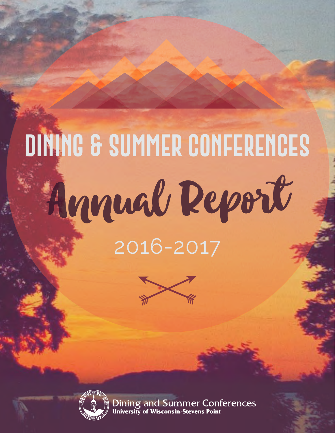# **dining & summer conferences** 2016-2017 Annual Report





Dining and Summer Conferences<br>University of Wisconsin-Stevens Point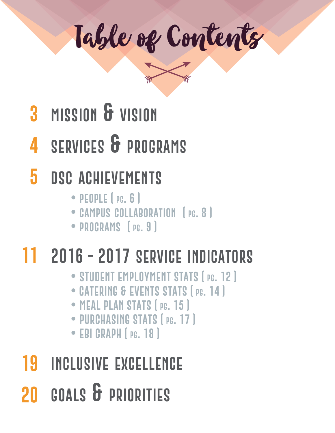Table of Contents

- **3 mission & vision**
- **4 services & programs**
- **5 dsc achievements**
	- **people ( pg. 6 )**
	- **campus collaboration ( pg. 8 )**
	- **programs ( pg. 9 )**

## **11 2016 - 2017 service indicators**

- **STUDENT EMPLO YMENT STATS ( pg. 12 )**
- **• CATERING & EVENTS STATS ( pg. 14 )**
- **MEAL PLAN STATS ( pg. 15 )**
- **PURCHASING STATS ( pg. 17 )**
- **EBI GRAPH ( pg. 18 )**
- **19 20 goals & priorities inclusive excellence**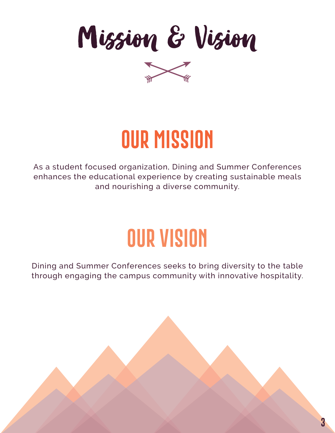Mission & Vision



## **our mission**

As a student focused organization, Dining and Summer Conferences enhances the educational experience by creating sustainable meals and nourishing a diverse community.

## **our vision**

Dining and Summer Conferences seeks to bring diversity to the table through engaging the campus community with innovative hospitality.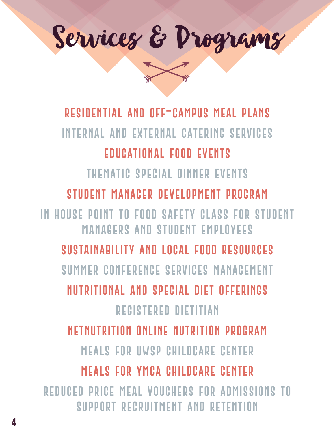

**residential and off-campus meal plans internal and external catering services educational food events thematic special dinner events student manager development program in house point to food safety class for student managers and student employees sustainability and local food resources summer conference services management nutritional and special diet offerings registered dietitian netnutrition online nutrition program meals for uwsp childcare center meals for ymca childcare center reduced price meal vouchers for admissions to support recruitment and retention**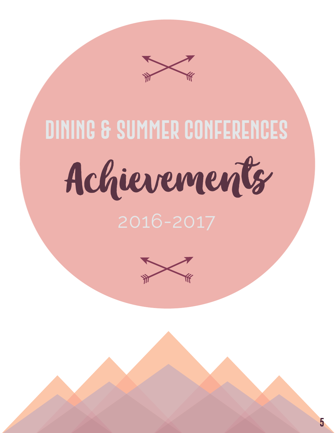

Achievements

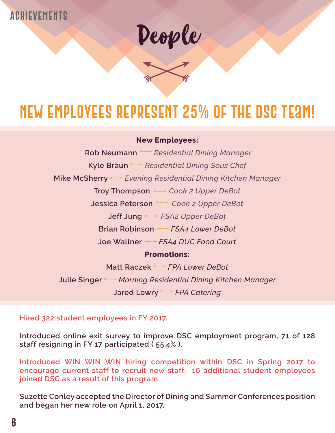#### **achievements**



## **NEW employees represent 25% of the DSC Team!**

#### **New Employees:**

**Rob Neumann** *Parager* Residential Dining Manager **Kyle Braun** *Residential Dining Sous Chef*  **Mike McSherry** *Evening Residential Dining Kitchen Manager*  **Troy Thompson** *Cook 2 Upper DeBot* **Jessica Peterson** *Cook 2 Upper DeBot* **Jeff Jung** *FSA2 Upper DeBot* **Brian Robinson** *FSA4 Lower DeBot* **Joe Wallner** *FSA4 DUC Food Court* **Promotions: Matt Raczek** *FPA Lower DeBot* **Julie Singer** *Morning Residential Dining Kitchen Manager* **Jared Lowry** *FPA Catering*

**Hired 322 student employees in FY 2017.**

**Introduced online exit survey to improve DSC employment program, 71 of 128 staff resigning in FY 17 participated ( 55.4% ).**

**Introduced WIN WIN WIN hiring competition within DSC in Spring 2017 to encourage current staff to recruit new staff. 16 additional student employees joined DSC as a result of this program.**

**Suzette Conley accepted the Director of Dining and Summer Conferences position and began her new role on April 1, 2017.**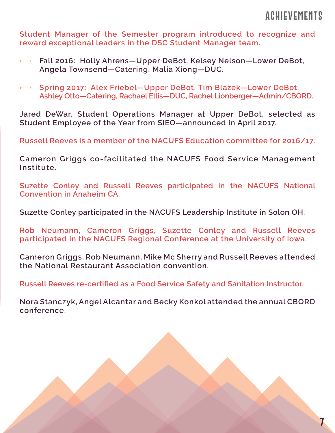#### **achievements**

**7**

**Student Manager of the Semester program introduced to recognize and reward exceptional leaders in the DSC Student Manager team.**

- **Fall 2016: Holly Ahrens—Upper DeBot, Kelsey Nelson—Lower DeBot, Angela Townsend—Catering, Malia Xiong—DUC.**
- **Spring 2017: Alex Friebel—Upper DeBot, Tim Blazek—Lower DeBot, Ashley Otto—Catering, Rachael Ellis—DUC, Rachel Lionberger—Admin/CBORD.**

**Jared DeWar, Student Operations Manager at Upper DeBot, selected as Student Employee of the Year from SIEO—announced in April 2017.**

**Russell Reeves is a member of the NACUFS Education committee for 2016/17.**

**Cameron Griggs co-facilitated the NACUFS Food Service Management Institute.**

**Suzette Conley and Russell Reeves participated in the NACUFS National Convention in Anaheim CA.**

**Suzette Conley participated in the NACUFS Leadership Institute in Solon OH.**

**Rob Neumann, Cameron Griggs, Suzette Conley and Russell Reeves participated in the NACUFS Regional Conference at the University of Iowa.**

**Cameron Griggs, Rob Neumann, Mike Mc Sherry and Russell Reeves attended the National Restaurant Association convention.**

**Russell Reeves re-certified as a Food Service Safety and Sanitation Instructor.**

**Nora Stanczyk, Angel Alcantar and Becky Konkol attended the annual CBORD conference.**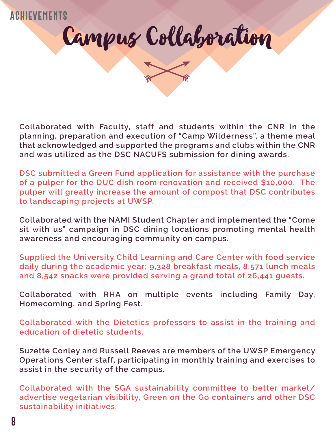

**Collaborated with Faculty, staff and students within the CNR in the planning, preparation and execution of "Camp Wilderness", a theme meal that acknowledged and supported the programs and clubs within the CNR and was utilized as the DSC NACUFS submission for dining awards.**

**DSC submitted a Green Fund application for assistance with the purchase of a pulper for the DUC dish room renovation and received \$10,000. The pulper will greatly increase the amount of compost that DSC contributes to landscaping projects at UWSP.**

**Collaborated with the NAMI Student Chapter and implemented the "Come sit with us" campaign in DSC dining locations promoting mental health awareness and encouraging community on campus.**

**Supplied the University Child Learning and Care Center with food service daily during the academic year; 9,328 breakfast meals, 8,571 lunch meals and 8,542 snacks were provided serving a grand total of 26,441 guests.**

**Collaborated with RHA on multiple events including Family Day, Homecoming, and Spring Fest.**

**Collaborated with the Dietetics professors to assist in the training and education of dietetic students.** 

**Suzette Conley and Russell Reeves are members of the UWSP Emergency Operations Center staff, participating in monthly training and exercises to assist in the security of the campus.**

**Collaborated with the SGA sustainability committee to better market/ advertise vegetarian visibility, Green on the Go containers and other DSC sustainability initiatives.**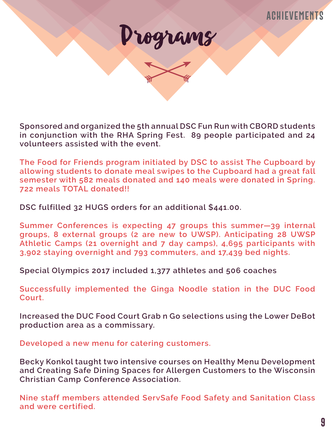

**Sponsored and organized the 5th annual DSC Fun Run with CBORD students in conjunction with the RHA Spring Fest. 89 people participated and 24 volunteers assisted with the event.**

**The Food for Friends program initiated by DSC to assist The Cupboard by allowing students to donate meal swipes to the Cupboard had a great fall semester with 582 meals donated and 140 meals were donated in Spring. 722 meals TOTAL donated!!**

**DSC fulfilled 32 HUGS orders for an additional \$441.00.**

**Summer Conferences is expecting 47 groups this summer—39 internal groups, 8 external groups (2 are new to UWSP). Anticipating 28 UWSP Athletic Camps (21 overnight and 7 day camps), 4,695 participants with 3,902 staying overnight and 793 commuters, and 17,439 bed nights.**

**Special Olympics 2017 included 1,377 athletes and 506 coaches**

**Successfully implemented the Ginga Noodle station in the DUC Food Court.**

**Increased the DUC Food Court Grab n Go selections using the Lower DeBot production area as a commissary.**

**Developed a new menu for catering customers.**

**Becky Konkol taught two intensive courses on Healthy Menu Development and Creating Safe Dining Spaces for Allergen Customers to the Wisconsin Christian Camp Conference Association.**

**Nine staff members attended ServSafe Food Safety and Sanitation Class and were certified.**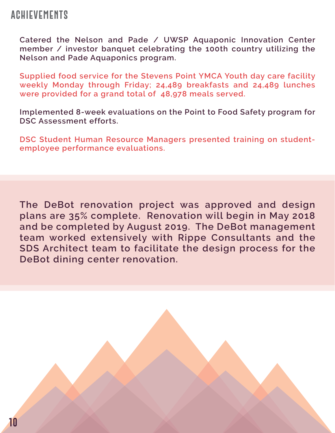#### **achievements**

**Catered the Nelson and Pade / UWSP Aquaponic Innovation Center member / investor banquet celebrating the 100th country utilizing the Nelson and Pade Aquaponics program.** 

**Supplied food service for the Stevens Point YMCA Youth day care facility weekly Monday through Friday; 24,489 breakfasts and 24,489 lunches were provided for a grand total of 48,978 meals served.**

**Implemented 8-week evaluations on the Point to Food Safety program for DSC Assessment efforts.**

**DSC Student Human Resource Managers presented training on studentemployee performance evaluations.**

**The DeBot renovation project was approved and design plans are 35% complete. Renovation will begin in May 2018 and be completed by August 2019. The DeBot management team worked extensively with Rippe Consultants and the SDS Architect team to facilitate the design process for the DeBot dining center renovation.**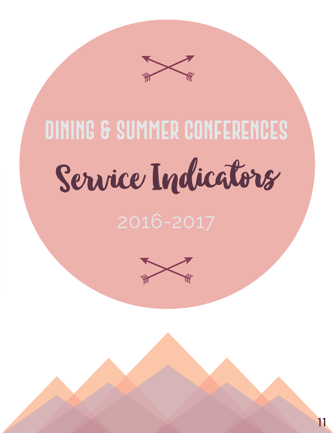

# Service Indicators

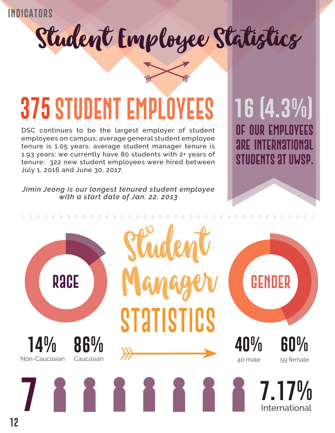## Student Employee Statistics



## **375 STUDENT EMPLOY**

DSC continues to be the largest employer of student employees on campus; average general student employee tenure is 1.05 years; average student manager tenure is 1.93 years; we currently have 80 students with 2+ years of tenure; 322 new student employees were hired between July 1, 2016 and June 30, 2017.

*Jimin Jeong is our longest tenured student employee with a start date of Jan. 22, 2013*



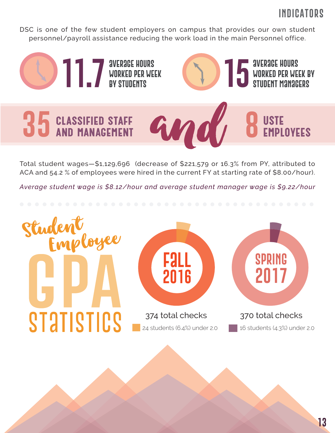DSC is one of the few student employers on campus that provides our own student personnel/payroll assistance reducing the work load in the main Personnel office.



Total student wages—\$1,129,696 (decrease of \$221,579 or 16.3% from PY, attributed to ACA and 54.2 % of employees were hired in the current FY at starting rate of \$8.00/hour).

*Average student wage is \$8.12/hour and average student manager wage is \$9.22/hour*

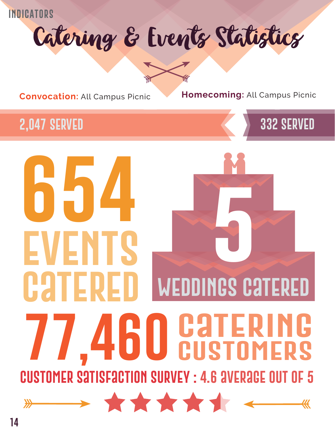Catering & Events Statistics



**Convocation:** All Campus Picnic **Homecoming:** All Campus Picnic

#### **2,047 served**



## **654 5 events CATERE weddings catered catering 77,460 customers customer satisfaction survey : 4.6 average out of 5** \*\*\*\*\*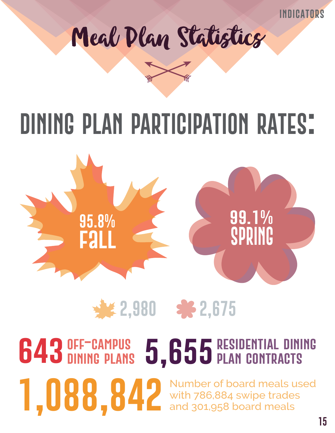



## **dining plan participation rates:**



## **2,980 2,675**

# **643** DINING PLANS 5, 655 RESIDENTIAL DINING

**1,088,84** Number of board meals used<br>and 301,958 board meals with 786,884 swipe trades and 301,958 board meals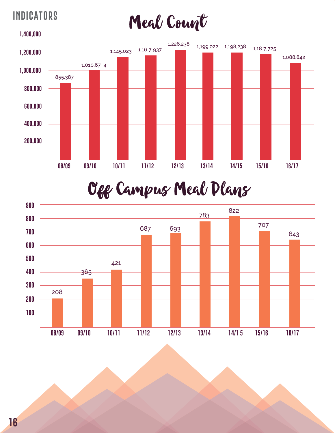



### Off Campus Meal Plans

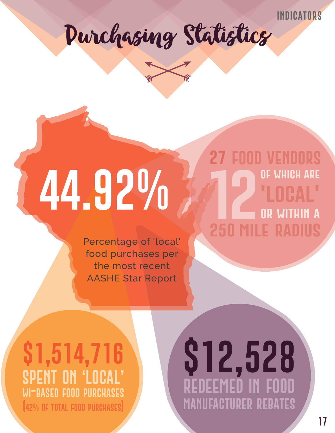**27 food vendors**

**of which are**

**'local'**

**or within a**

**250 mile radius**





# **44.92%**

Percentage of 'local' food purchases per the most recent AASHE Star Report

#### **\$1,514,716 spent on 'local' wi-based food purchases (42% of total food purchases)**

## **\$12,528 redeemed in food manufacturer rebates**

**12**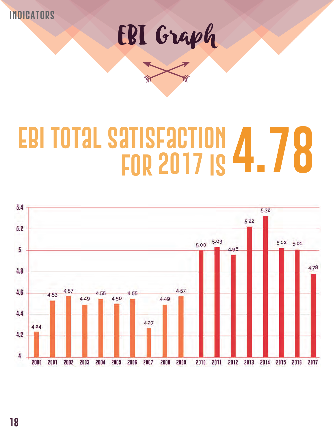EBI Graph

## **ebi total satisfaction for 2017 is 4.78**

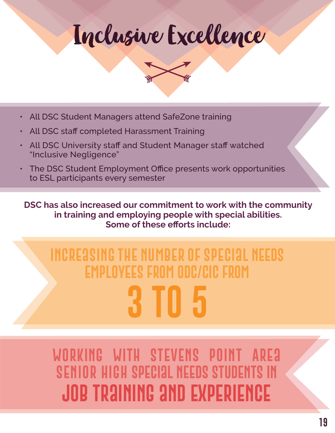Inclusive Excellence



- All DSC Student Managers attend SafeZone training
- All DSC staff completed Harassment Training
- All DSC University staff and Student Manager staff watched "Inclusive Negligence"
- The DSC Student Employment Office presents work opportunities to ESL participants every semester

**DSC has also increased our commitment to work with the community in training and employing people with special abilities. Some of these efforts include:**

## **Increasing the number of special needs employees from ODC/CIC from 3 to 5**

WORKING WITH STEVENS POINT **Senior High special needs students in job training and experience**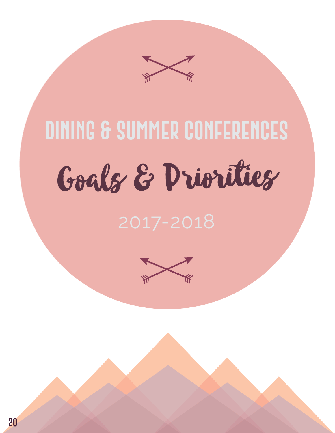Goals & Priorities

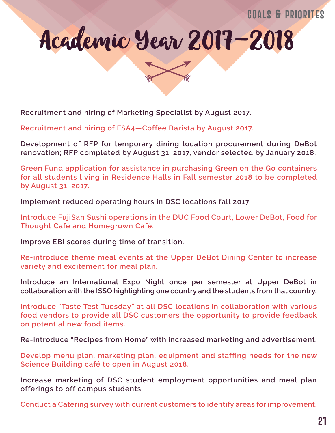#### **goals & priorites**



**Recruitment and hiring of Marketing Specialist by August 2017.**

**Recruitment and hiring of FSA4—Coffee Barista by August 2017.**

**Development of RFP for temporary dining location procurement during DeBot renovation; RFP completed by August 31, 2017, vendor selected by January 2018.**

**Green Fund application for assistance in purchasing Green on the Go containers for all students living in Residence Halls in Fall semester 2018 to be completed by August 31, 2017.**

**Implement reduced operating hours in DSC locations fall 2017.** 

**Introduce FujiSan Sushi operations in the DUC Food Court, Lower DeBot, Food for Thought Café and Homegrown Café.**

**Improve EBI scores during time of transition.**

**Re-introduce theme meal events at the Upper DeBot Dining Center to increase variety and excitement for meal plan.**

**Introduce an International Expo Night once per semester at Upper DeBot in collaboration with the ISSO highlighting one country and the students from that country.**

**Introduce "Taste Test Tuesday" at all DSC locations in collaboration with various food vendors to provide all DSC customers the opportunity to provide feedback on potential new food items.**

**Re-introduce "Recipes from Home" with increased marketing and advertisement.**

**Develop menu plan, marketing plan, equipment and staffing needs for the new Science Building café to open in August 2018.**

**Increase marketing of DSC student employment opportunities and meal plan offerings to off campus students.**

**Conduct a Catering survey with current customers to identify areas for improvement.**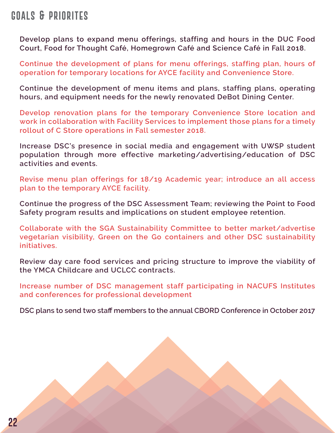#### **goals & priorites**

**Develop plans to expand menu offerings, staffing and hours in the DUC Food Court, Food for Thought Café, Homegrown Café and Science Café in Fall 2018.**

**Continue the development of plans for menu offerings, staffing plan, hours of operation for temporary locations for AYCE facility and Convenience Store.**

**Continue the development of menu items and plans, staffing plans, operating hours, and equipment needs for the newly renovated DeBot Dining Center.**

**Develop renovation plans for the temporary Convenience Store location and work in collaboration with Facility Services to implement those plans for a timely rollout of C Store operations in Fall semester 2018.**

**Increase DSC's presence in social media and engagement with UWSP student population through more effective marketing/advertising/education of DSC activities and events.**

**Revise menu plan offerings for 18/19 Academic year; introduce an all access plan to the temporary AYCE facility.**

**Continue the progress of the DSC Assessment Team; reviewing the Point to Food Safety program results and implications on student employee retention.**

**Collaborate with the SGA Sustainability Committee to better market/advertise vegetarian visibility, Green on the Go containers and other DSC sustainability initiatives.** 

**Review day care food services and pricing structure to improve the viability of the YMCA Childcare and UCLCC contracts.**

**Increase number of DSC management staff participating in NACUFS Institutes and conferences for professional development**

**DSC plans to send two staff members to the annual CBORD Conference in October 2017**